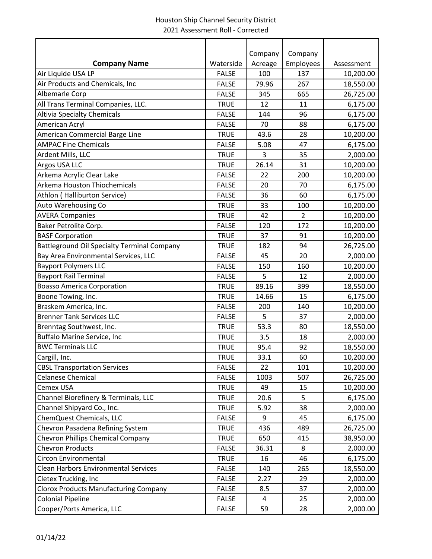|                                                    |              | Company | Company   |            |
|----------------------------------------------------|--------------|---------|-----------|------------|
| <b>Company Name</b>                                | Waterside    | Acreage | Employees | Assessment |
| Air Liquide USA LP                                 | <b>FALSE</b> | 100     | 137       | 10,200.00  |
| Air Products and Chemicals, Inc                    | <b>FALSE</b> | 79.96   | 267       | 18,550.00  |
| Albemarle Corp                                     | <b>FALSE</b> | 345     | 665       | 26,725.00  |
| All Trans Terminal Companies, LLC.                 | <b>TRUE</b>  | 12      | 11        | 6,175.00   |
| <b>Altivia Specialty Chemicals</b>                 | <b>FALSE</b> | 144     | 96        | 6,175.00   |
| American Acryl                                     | <b>FALSE</b> | 70      | 88        | 6,175.00   |
| American Commercial Barge Line                     | <b>TRUE</b>  | 43.6    | 28        | 10,200.00  |
| <b>AMPAC Fine Chemicals</b>                        | <b>FALSE</b> | 5.08    | 47        | 6,175.00   |
| Ardent Mills, LLC                                  | <b>TRUE</b>  | 3       | 35        | 2,000.00   |
| Argos USA LLC                                      | <b>TRUE</b>  | 26.14   | 31        | 10,200.00  |
| Arkema Acrylic Clear Lake                          | <b>FALSE</b> | 22      | 200       | 10,200.00  |
| Arkema Houston Thiochemicals                       | <b>FALSE</b> | 20      | 70        | 6,175.00   |
| Athlon (Halliburton Service)                       | <b>FALSE</b> | 36      | 60        | 6,175.00   |
| Auto Warehousing Co                                | <b>TRUE</b>  | 33      | 100       | 10,200.00  |
| <b>AVERA Companies</b>                             | <b>TRUE</b>  | 42      | 2         | 10,200.00  |
| Baker Petrolite Corp.                              | <b>FALSE</b> | 120     | 172       | 10,200.00  |
| <b>BASF Corporation</b>                            | <b>TRUE</b>  | 37      | 91        | 10,200.00  |
| <b>Battleground Oil Specialty Terminal Company</b> | <b>TRUE</b>  | 182     | 94        | 26,725.00  |
| Bay Area Environmental Services, LLC               | <b>FALSE</b> | 45      | 20        | 2,000.00   |
| <b>Bayport Polymers LLC</b>                        | <b>FALSE</b> | 150     | 160       | 10,200.00  |
| <b>Bayport Rail Terminal</b>                       | <b>FALSE</b> | 5       | 12        | 2,000.00   |
| <b>Boasso America Corporation</b>                  | <b>TRUE</b>  | 89.16   | 399       | 18,550.00  |
| Boone Towing, Inc.                                 | <b>TRUE</b>  | 14.66   | 15        | 6,175.00   |
| Braskem America, Inc.                              | <b>FALSE</b> | 200     | 140       | 10,200.00  |
| <b>Brenner Tank Services LLC</b>                   | <b>FALSE</b> | 5       | 37        | 2,000.00   |
| Brenntag Southwest, Inc.                           | <b>TRUE</b>  | 53.3    | 80        | 18,550.00  |
| Buffalo Marine Service, Inc                        | <b>TRUE</b>  | 3.5     | 18        | 2,000.00   |
| <b>BWC Terminals LLC</b>                           | <b>TRUE</b>  | 95.4    | 92        | 18,550.00  |
| Cargill, Inc.                                      | <b>TRUE</b>  | 33.1    | 60        | 10,200.00  |
| <b>CBSL Transportation Services</b>                | <b>FALSE</b> | 22      | 101       | 10,200.00  |
| <b>Celanese Chemical</b>                           | <b>FALSE</b> | 1003    | 507       | 26,725.00  |
| Cemex USA                                          | <b>TRUE</b>  | 49      | 15        | 10,200.00  |
| Channel Biorefinery & Terminals, LLC               | <b>TRUE</b>  | 20.6    | 5         | 6,175.00   |
| Channel Shipyard Co., Inc.                         | <b>TRUE</b>  | 5.92    | 38        | 2,000.00   |
| ChemQuest Chemicals, LLC                           | <b>FALSE</b> | 9       | 45        | 6,175.00   |
| Chevron Pasadena Refining System                   | <b>TRUE</b>  | 436     | 489       | 26,725.00  |
| Chevron Phillips Chemical Company                  | <b>TRUE</b>  | 650     | 415       | 38,950.00  |
| <b>Chevron Products</b>                            | <b>FALSE</b> | 36.31   | 8         | 2,000.00   |
| Circon Environmental                               | <b>TRUE</b>  | 16      | 46        | 6,175.00   |
| <b>Clean Harbors Environmental Services</b>        | <b>FALSE</b> | 140     | 265       | 18,550.00  |
| Cletex Trucking, Inc                               | <b>FALSE</b> | 2.27    | 29        | 2,000.00   |
| <b>Clorox Products Manufacturing Company</b>       | <b>FALSE</b> | 8.5     | 37        | 2,000.00   |
| <b>Colonial Pipeline</b>                           | <b>FALSE</b> | 4       | 25        | 2,000.00   |
| Cooper/Ports America, LLC                          | <b>FALSE</b> | 59      | 28        | 2,000.00   |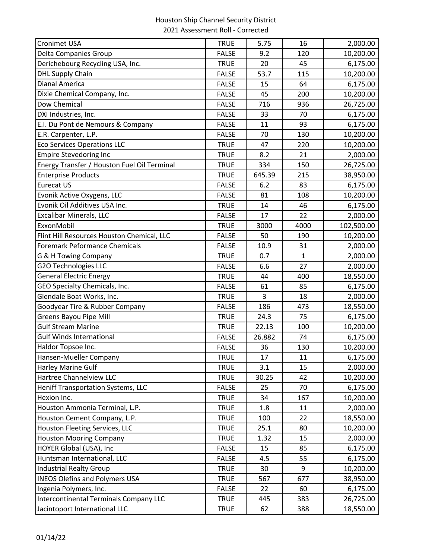| <b>Cronimet USA</b>                           | <b>TRUE</b>  | 5.75   | 16           | 2,000.00   |
|-----------------------------------------------|--------------|--------|--------------|------------|
| Delta Companies Group                         | <b>FALSE</b> | 9.2    | 120          | 10,200.00  |
| Derichebourg Recycling USA, Inc.              | <b>TRUE</b>  | 20     | 45           | 6,175.00   |
| <b>DHL Supply Chain</b>                       | <b>FALSE</b> | 53.7   | 115          | 10,200.00  |
| Dianal America                                | <b>FALSE</b> | 15     | 64           | 6,175.00   |
| Dixie Chemical Company, Inc.                  | <b>FALSE</b> | 45     | 200          | 10,200.00  |
| Dow Chemical                                  | <b>FALSE</b> | 716    | 936          | 26,725.00  |
| DXI Industries, Inc.                          | <b>FALSE</b> | 33     | 70           | 6,175.00   |
| E.I. Du Pont de Nemours & Company             | <b>FALSE</b> | 11     | 93           | 6,175.00   |
| E.R. Carpenter, L.P.                          | <b>FALSE</b> | 70     | 130          | 10,200.00  |
| <b>Eco Services Operations LLC</b>            | <b>TRUE</b>  | 47     | 220          | 10,200.00  |
| <b>Empire Stevedoring Inc</b>                 | <b>TRUE</b>  | 8.2    | 21           | 2,000.00   |
| Energy Transfer / Houston Fuel Oil Terminal   | <b>TRUE</b>  | 334    | 150          | 26,725.00  |
| <b>Enterprise Products</b>                    | <b>TRUE</b>  | 645.39 | 215          | 38,950.00  |
| <b>Eurecat US</b>                             | <b>FALSE</b> | 6.2    | 83           | 6,175.00   |
| Evonik Active Oxygens, LLC                    | <b>FALSE</b> | 81     | 108          | 10,200.00  |
| Evonik Oil Additives USA Inc.                 | <b>TRUE</b>  | 14     | 46           | 6,175.00   |
| <b>Excalibar Minerals, LLC</b>                | <b>FALSE</b> | 17     | 22           | 2,000.00   |
| ExxonMobil                                    | <b>TRUE</b>  | 3000   | 4000         | 102,500.00 |
| Flint Hill Resources Houston Chemical, LLC    | <b>FALSE</b> | 50     | 190          | 10,200.00  |
| Foremark Peformance Chemicals                 | <b>FALSE</b> | 10.9   | 31           | 2,000.00   |
| G & H Towing Company                          | <b>TRUE</b>  | 0.7    | $\mathbf{1}$ | 2,000.00   |
| <b>G2O Technologies LLC</b>                   | <b>FALSE</b> | 6.6    | 27           | 2,000.00   |
| <b>General Electric Energy</b>                | <b>TRUE</b>  | 44     | 400          | 18,550.00  |
| GEO Specialty Chemicals, Inc.                 | <b>FALSE</b> | 61     | 85           | 6,175.00   |
| Glendale Boat Works, Inc.                     | <b>TRUE</b>  | 3      | 18           | 2,000.00   |
| Goodyear Tire & Rubber Company                | <b>FALSE</b> | 186    | 473          | 18,550.00  |
| <b>Greens Bayou Pipe Mill</b>                 | <b>TRUE</b>  | 24.3   | 75           | 6,175.00   |
| <b>Gulf Stream Marine</b>                     | <b>TRUE</b>  | 22.13  | 100          | 10,200.00  |
| <b>Gulf Winds International</b>               | <b>FALSE</b> | 26.882 | 74           | 6,175.00   |
| Haldor Topsoe Inc.                            | <b>FALSE</b> | 36     | 130          | 10,200.00  |
| Hansen-Mueller Company                        | <b>TRUE</b>  | 17     | 11           | 6,175.00   |
| <b>Harley Marine Gulf</b>                     | <b>TRUE</b>  | 3.1    | 15           | 2,000.00   |
| Hartree Channelview LLC                       | <b>TRUE</b>  | 30.25  | 42           | 10,200.00  |
| Heniff Transportation Systems, LLC            | <b>FALSE</b> | 25     | 70           | 6,175.00   |
| Hexion Inc.                                   | <b>TRUE</b>  | 34     | 167          | 10,200.00  |
| Houston Ammonia Terminal, L.P.                | <b>TRUE</b>  | 1.8    | 11           | 2,000.00   |
| Houston Cement Company, L.P.                  | <b>TRUE</b>  | 100    | 22           | 18,550.00  |
| Houston Fleeting Services, LLC                | <b>TRUE</b>  | 25.1   | 80           | 10,200.00  |
| <b>Houston Mooring Company</b>                | <b>TRUE</b>  | 1.32   | 15           | 2,000.00   |
| HOYER Global (USA), Inc                       | <b>FALSE</b> | 15     | 85           | 6,175.00   |
| Huntsman International, LLC                   | <b>FALSE</b> | 4.5    | 55           | 6,175.00   |
| Industrial Realty Group                       | <b>TRUE</b>  | 30     | 9            | 10,200.00  |
| <b>INEOS Olefins and Polymers USA</b>         | <b>TRUE</b>  | 567    | 677          | 38,950.00  |
| Ingenia Polymers, Inc.                        | <b>FALSE</b> | 22     | 60           | 6,175.00   |
| <b>Intercontinental Terminals Company LLC</b> | <b>TRUE</b>  | 445    | 383          | 26,725.00  |
| Jacintoport International LLC                 | <b>TRUE</b>  | 62     | 388          | 18,550.00  |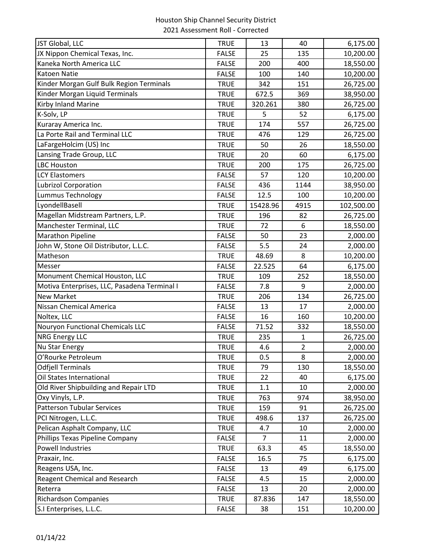| JST Global, LLC                              | <b>TRUE</b>  | 13             | 40             | 6,175.00   |
|----------------------------------------------|--------------|----------------|----------------|------------|
| JX Nippon Chemical Texas, Inc.               | <b>FALSE</b> | 25             | 135            | 10,200.00  |
| Kaneka North America LLC                     | <b>FALSE</b> | 200            | 400            | 18,550.00  |
| <b>Katoen Natie</b>                          | <b>FALSE</b> | 100            | 140            | 10,200.00  |
| Kinder Morgan Gulf Bulk Region Terminals     | <b>TRUE</b>  | 342            | 151            | 26,725.00  |
| Kinder Morgan Liquid Terminals               | <b>TRUE</b>  | 672.5          | 369            | 38,950.00  |
| Kirby Inland Marine                          | <b>TRUE</b>  | 320.261        | 380            | 26,725.00  |
| K-Solv, LP                                   | <b>TRUE</b>  | 5              | 52             | 6,175.00   |
| Kuraray America Inc.                         | <b>TRUE</b>  | 174            | 557            | 26,725.00  |
| La Porte Rail and Terminal LLC               | <b>TRUE</b>  | 476            | 129            | 26,725.00  |
| LaFargeHolcim (US) Inc                       | <b>TRUE</b>  | 50             | 26             | 18,550.00  |
| Lansing Trade Group, LLC                     | <b>TRUE</b>  | 20             | 60             | 6,175.00   |
| <b>LBC Houston</b>                           | <b>TRUE</b>  | 200            | 175            | 26,725.00  |
| <b>LCY Elastomers</b>                        | <b>FALSE</b> | 57             | 120            | 10,200.00  |
| <b>Lubrizol Corporation</b>                  | <b>FALSE</b> | 436            | 1144           | 38,950.00  |
| Lummus Technology                            | <b>FALSE</b> | 12.5           | 100            | 10,200.00  |
| LyondellBasell                               | <b>TRUE</b>  | 15428.96       | 4915           | 102,500.00 |
| Magellan Midstream Partners, L.P.            | <b>TRUE</b>  | 196            | 82             | 26,725.00  |
| Manchester Terminal, LLC                     | <b>TRUE</b>  | 72             | 6              | 18,550.00  |
| <b>Marathon Pipeline</b>                     | <b>FALSE</b> | 50             | 23             | 2,000.00   |
| John W, Stone Oil Distributor, L.L.C.        | <b>FALSE</b> | 5.5            | 24             | 2,000.00   |
| Matheson                                     | <b>TRUE</b>  | 48.69          | 8              | 10,200.00  |
| Messer                                       | <b>FALSE</b> | 22.525         | 64             | 6,175.00   |
| Monument Chemical Houston, LLC               | <b>TRUE</b>  | 109            | 252            | 18,550.00  |
| Motiva Enterprises, LLC, Pasadena Terminal I | <b>FALSE</b> | 7.8            | 9              | 2,000.00   |
| <b>New Market</b>                            | <b>TRUE</b>  | 206            | 134            | 26,725.00  |
| <b>Nissan Chemical America</b>               | <b>FALSE</b> | 13             | 17             | 2,000.00   |
| Noltex, LLC                                  | <b>FALSE</b> | 16             | 160            | 10,200.00  |
| Nouryon Functional Chemicals LLC             | <b>FALSE</b> | 71.52          | 332            | 18,550.00  |
| <b>NRG Energy LLC</b>                        | <b>TRUE</b>  | 235            | 1              | 26,725.00  |
| <b>Nu Star Energy</b>                        | <b>TRUE</b>  | 4.6            | $\overline{2}$ | 2,000.00   |
| O'Rourke Petroleum                           | TRUE         | 0.5            | 8              | 2,000.00   |
| <b>Odfjell Terminals</b>                     | <b>TRUE</b>  | 79             | 130            | 18,550.00  |
| Oil States International                     | <b>TRUE</b>  | 22             | 40             | 6,175.00   |
| Old River Shipbuilding and Repair LTD        | <b>TRUE</b>  | 1.1            | 10             | 2,000.00   |
| Oxy Vinyls, L.P.                             | <b>TRUE</b>  | 763            | 974            | 38,950.00  |
| <b>Patterson Tubular Services</b>            | <b>TRUE</b>  | 159            | 91             | 26,725.00  |
| PCI Nitrogen, L.L.C.                         | <b>TRUE</b>  | 498.6          | 137            | 26,725.00  |
| Pelican Asphalt Company, LLC                 | <b>TRUE</b>  | 4.7            | 10             | 2,000.00   |
| Phillips Texas Pipeline Company              | <b>FALSE</b> | $\overline{7}$ | 11             | 2,000.00   |
| <b>Powell Industries</b>                     | <b>TRUE</b>  | 63.3           | 45             | 18,550.00  |
| Praxair, Inc.                                | <b>FALSE</b> | 16.5           | 75             | 6,175.00   |
| Reagens USA, Inc.                            | <b>FALSE</b> | 13             | 49             | 6,175.00   |
| Reagent Chemical and Research                | <b>FALSE</b> | 4.5            | 15             | 2,000.00   |
| Reterra                                      | <b>FALSE</b> | 13             | 20             | 2,000.00   |
| <b>Richardson Companies</b>                  | <b>TRUE</b>  | 87.836         | 147            | 18,550.00  |
| S.I Enterprises, L.L.C.                      | <b>FALSE</b> | 38             | 151            | 10,200.00  |